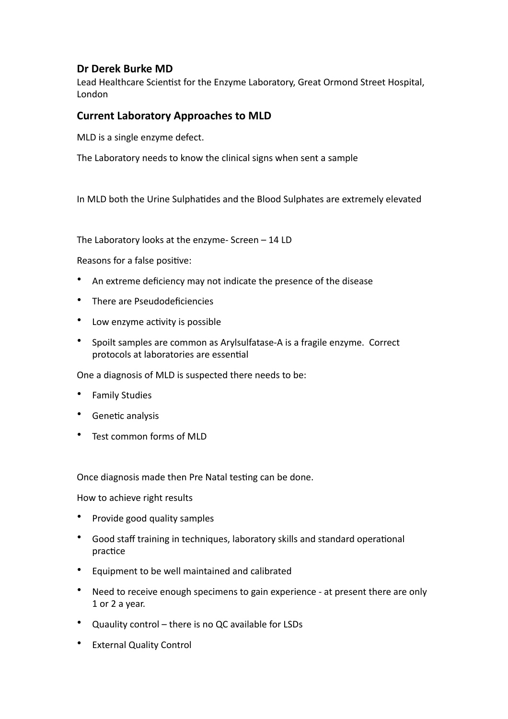## Dr Derek Burke MD

Lead Healthcare Scientist for the Enzyme Laboratory, Great Ormond Street Hospital, London

## **Current Laboratory Approaches to MLD**

MLD is a single enzyme defect.

The Laboratory needs to know the clinical signs when sent a sample

In MLD both the Urine Sulphatides and the Blood Sulphates are extremely elevated

The Laboratory looks at the enzyme- Screen  $-14$  LD

Reasons for a false positive:

- An extreme deficiency may not indicate the presence of the disease
- There are Pseudodeficiencies
- Low enzyme activity is possible
- Spoilt samples are common as Arylsulfatase-A is a fragile enzyme. Correct protocols at laboratories are essential

One a diagnosis of MLD is suspected there needs to be:

- Family Studies
- Genetic analysis
- Test common forms of MLD

Once diagnosis made then Pre Natal testing can be done.

How to achieve right results

- Provide good quality samples
- Good staff training in techniques, laboratory skills and standard operational practice
- Equipment to be well maintained and calibrated
- Need to receive enough specimens to gain experience at present there are only 1 or 2 a vear.
- Quaulity control there is no QC available for LSDs
- External Quality Control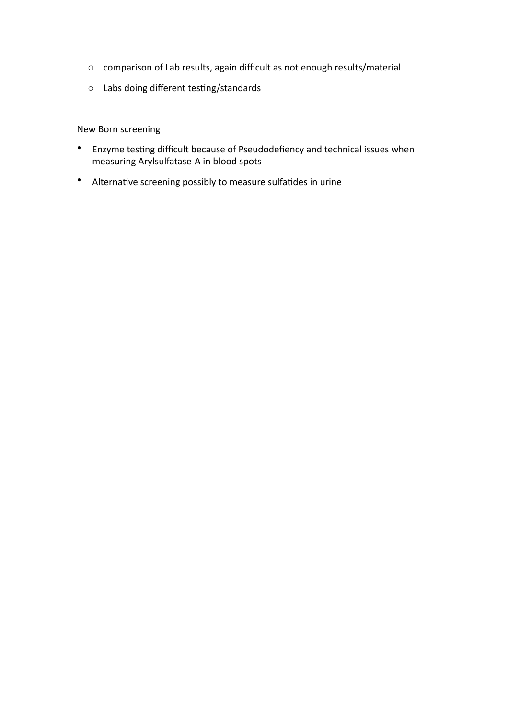- $\circ$  comparison of Lab results, again difficult as not enough results/material
- $\circ$  Labs doing different testing/standards

New Born screening 

- Enzyme testing difficult because of Pseudodefiency and technical issues when measuring Arylsulfatase-A in blood spots
- Alternative screening possibly to measure sulfatides in urine